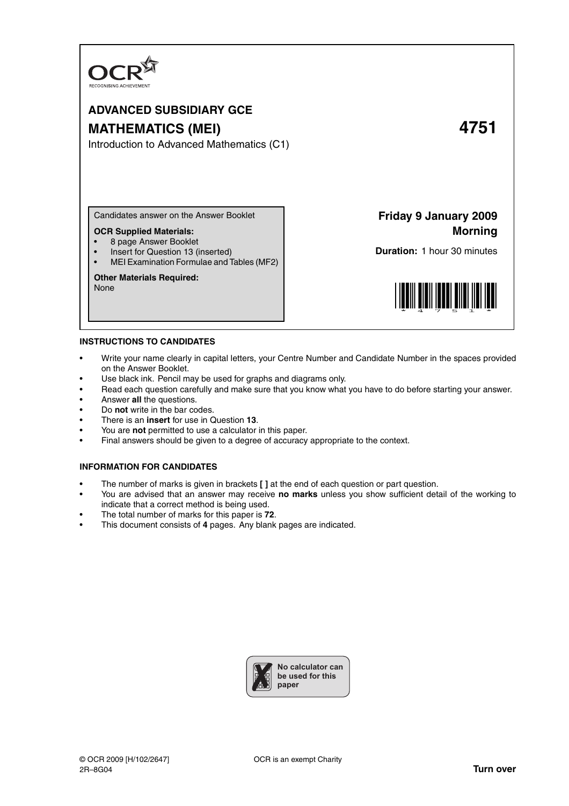

# **ADVANCED SUBSIDIARY GCE MATHEMATICS (MEI) 4751**

Introduction to Advanced Mathematics (C1)

Candidates answer on the Answer Booklet

## **OCR Supplied Materials:**

- 8 page Answer Booklet
- Insert for Question 13 (inserted)
- MEI Examination Formulae and Tables (MF2)

### **Other Materials Required:**

None

**Friday 9 January 2009 Morning**

**Duration:** 1 hour 30 minutes



#### **INSTRUCTIONS TO CANDIDATES**

- Write your name clearly in capital letters, your Centre Number and Candidate Number in the spaces provided on the Answer Booklet.
- Use black ink. Pencil may be used for graphs and diagrams only.
- Read each question carefully and make sure that you know what you have to do before starting your answer.
- Answer **all** the questions.
- Do **not** write in the bar codes.
- There is an **insert** for use in Question **13**.
- You are **not** permitted to use a calculator in this paper.
- Final answers should be given to a degree of accuracy appropriate to the context.

#### **INFORMATION FOR CANDIDATES**

- The number of marks is given in brackets **[ ]** at the end of each question or part question.
- You are advised that an answer may receive **no marks** unless you show sufficient detail of the working to indicate that a correct method is being used.
- The total number of marks for this paper is **72**.
- This document consists of **4** pages. Any blank pages are indicated.

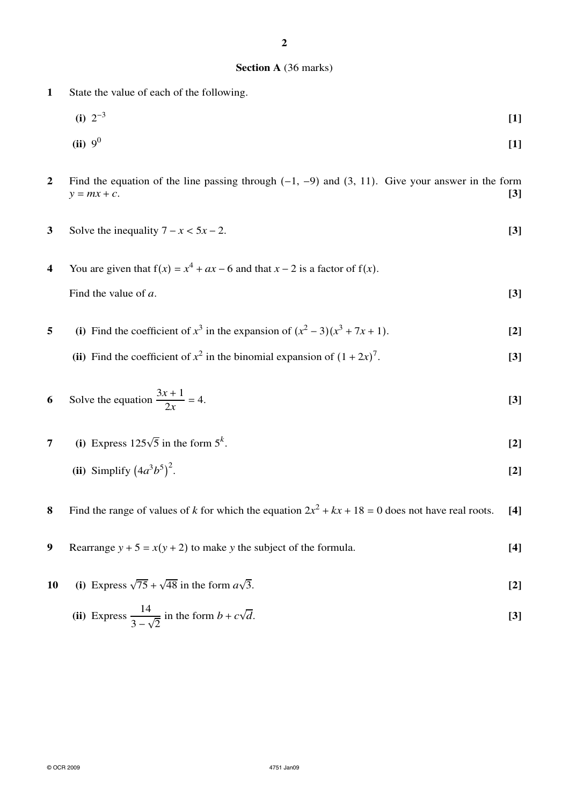## **Section A** (36 marks)

- **1** State the value of each of the following.
	- $(i)$  2<sup>-3</sup> **[1]**

(ii) 
$$
9^0
$$
 [1]

- **2** Find the equation of the line passing through (−1, −9) and (3, 11). Give your answer in the form  $y = mx + c$ . [3]  $y = mx + c.$  **[3]**
- **3** Solve the inequality  $7 x < 5x 2$ . **[3]**
- **4** You are given that  $f(x) = x^4 + ax 6$  and that  $x 2$  is a factor of  $f(x)$ . Find the value of *a*. [3]
- **5** (i) Find the coefficient of  $x^3$  in the expansion of  $(x^2 3)(x^3 + 7x + 1)$ . [2]
	- (ii) Find the coefficient of  $x^2$  in the binomial expansion of  $(1 + 2x)^7$ . **[3]**

6 Solve the equation 
$$
\frac{3x+1}{2x} = 4.
$$
 [3]

- **7** (i) Express  $125\sqrt{5}$  in the form  $5^k$ . **[2]**
	- **(ii)** Simplify  $(4a^3b^5)^2$ . **[2]**
- **8** Find the range of values of *k* for which the equation  $2x^2 + kx + 18 = 0$  does not have real roots. [4]
- **9** Rearrange  $y + 5 = x(y + 2)$  to make *y* the subject of the formula. **[4]**
- **10** (i) Express  $\sqrt{75} + \sqrt{48}$  in the form  $a\sqrt{ }$ 3. **[2]**

(ii) Express 
$$
\frac{14}{3-\sqrt{2}}
$$
 in the form  $b + c\sqrt{d}$ . [3]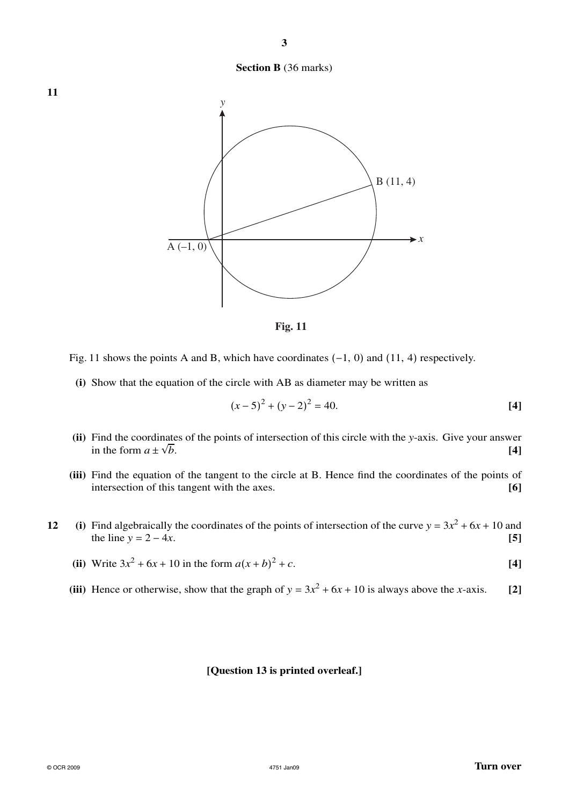**Section B** (36 marks)



**Fig. 11**

Fig. 11 shows the points A and B, which have coordinates  $(-1, 0)$  and  $(11, 4)$  respectively.

**(i)** Show that the equation of the circle with AB as diameter may be written as

$$
(x-5)^2 + (y-2)^2 = 40.
$$
 [4]

- **(ii)** Find the coordinates of the points of intersection of this circle with the *y*-axis. Give your answer in the form  $a \pm \sqrt{a^2 + a^2}$ *b*. **[4]**
- **(iii)** Find the equation of the tangent to the circle at B. Hence find the coordinates of the points of intersection of this tangent with the axes. **[6]**
- **12** (i) Find algebraically the coordinates of the points of intersection of the curve  $y = 3x^2 + 6x + 10$  and the line  $y = 2 - 4x$ . **[5]** 
	- **(ii)** Write  $3x^2 + 6x + 10$  in the form  $a(x + b)$  $2 + c$ . **[4]**
	- (iii) Hence or otherwise, show that the graph of  $y = 3x^2 + 6x + 10$  is always above the *x*-axis. [2]

## **[Question 13 is printed overleaf.]**

**11**